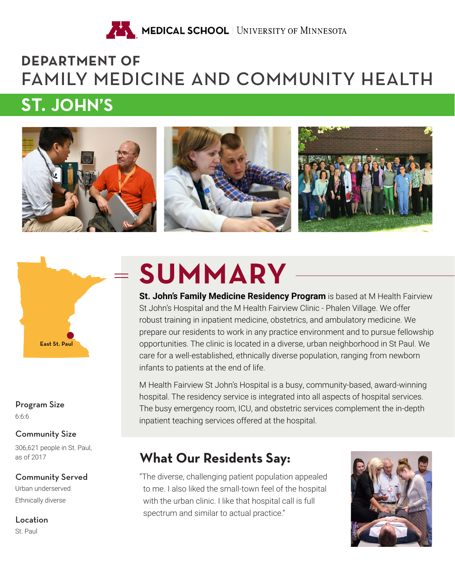

# **DEPARTMENT OF** FAMILY MEDICINE AND COMMUNITY HEALTH

# **ST. JOHN'S**





6:6:6 Program Size

# Community Size

306,621 people in St. Paul, as of 2017

### Urban underserved Ethnically diverse Community Served

Location

St. Paul

# **SUMMARY**

**St. John's Family Medicine Residency Program** is based at M Health Fairview St John's Hospital and the M Health Fairview Clinic - Phalen Village. We offer robust training in inpatient medicine, obstetrics, and ambulatory medicine. We prepare our residents to work in any practice environment and to pursue fellowship opportunities. The clinic is located in a diverse, urban neighborhood in St Paul. We care for a well-established, ethnically diverse population, ranging from newborn infants to patients at the end of life.

M Health Fairview St John's Hospital is a busy, community-based, award-winning hospital. The residency service is integrated into all aspects of hospital services. The busy emergency room, ICU, and obstetric services complement the in-depth inpatient teaching services offered at the hospital.

# **What Our Residents Say:**

"The diverse, challenging patient population appealed to me. I also liked the small-town feel of the hospital with the urban clinic. I like that hospital call is full spectrum and similar to actual practice."